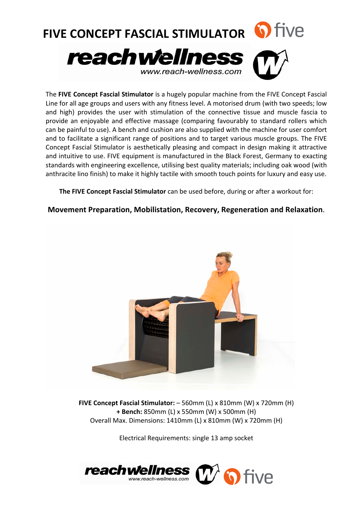

The FIVE Concept Fascial Stimulator is a hugely popular machine from the FIVE Concept Fascial Line for all age groups and users with any fitness level. A motorised drum (with two speeds; low and high) provides the user with stimulation of the connective tissue and muscle fascia to provide an enjoyable and effective massage (comparing favourably to standard rollers which can be painful to use). A bench and cushion are also supplied with the machine for user comfort and to facilitate a significant range of positions and to target various muscle groups. The FIVE Concept Fascial Stimulator is aesthetically pleasing and compact in design making it attractive and intuitive to use. FIVE equipment is manufactured in the Black Forest, Germany to exacting standards with engineering excellence, utilising best quality materials; including oak wood (with anthracite lino finish) to make it highly tactile with smooth touch points for luxury and easy use.

**The FIVE Concept Fascial Stimulator** can be used before, during or after a workout for:

## **Movement Preparation, Mobilistation, Recovery, Regeneration and Relaxation.**



**FIVE Concept Fascial Stimulator:** – 560mm (L) x 810mm (W) x 720mm (H) **+ Bench:** 850mm (L) x 550mm (W) x 500mm (H) Overall Max. Dimensions: 1410mm (L) x 810mm (W) x 720mm (H)

Electrical Requirements: single 13 amp socket

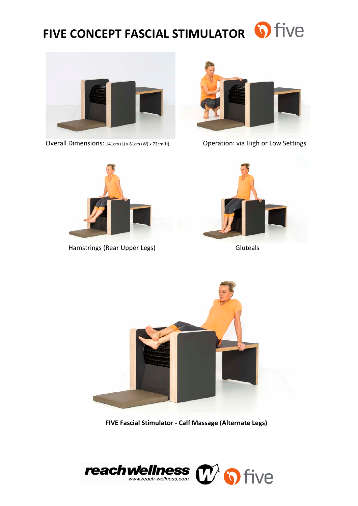## **FIVE CONCEPT FASCIAL STIMULATOR & TIVE**



 Overall Dimensions: 141cm (L) x 81cm (W) x 72cm(H) Operation: via High or Low Settings





Hamstrings (Rear Upper Legs) **Accord Contract Contract Contract Contract Contract Contract Contract Contract Contract Contract Contract Contract Contract Contract Contract Contract Contract Contract Contract Contract Contr** 





**FIVE Fascial Stimulator - Calf Massage (Alternate Legs)**

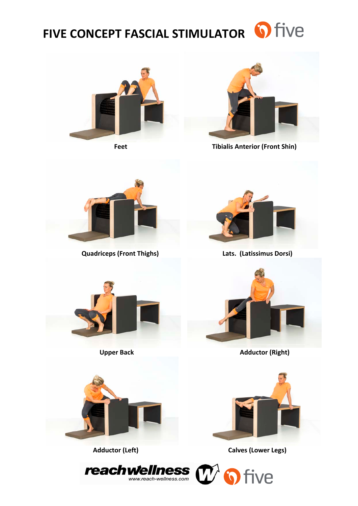## FIVE CONCEPT FASCIAL STIMULATOR **O** five



Feet



**Tibialis Anterior (Front Shin)** 



**Quadriceps (Front Thighs)** 



Lats. (Latissimus Dorsi)



**Upper Back** 



**Adductor (Right)** 



**Adductor (Left)** 



**Calves (Lower Legs)**